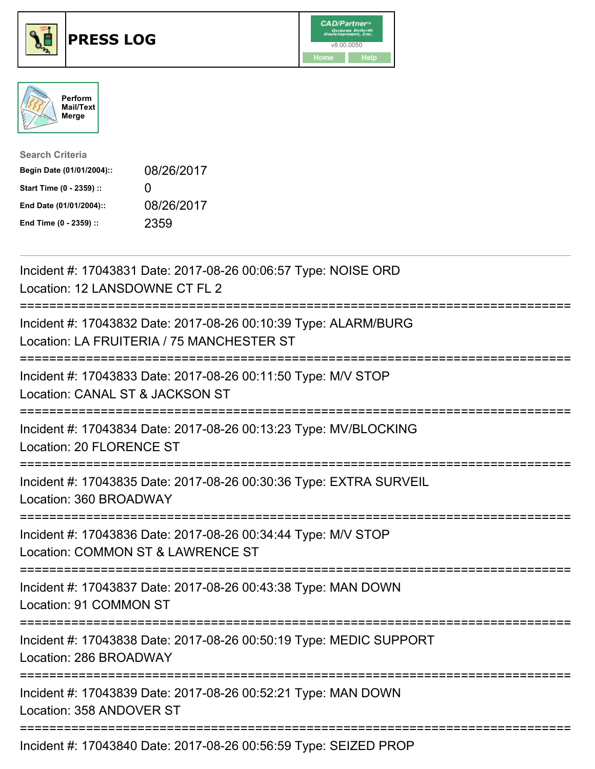





| <b>Search Criteria</b>    |              |
|---------------------------|--------------|
| Begin Date (01/01/2004):: | 08/26/2017   |
| Start Time (0 - 2359) ::  | $\mathbf{I}$ |
| End Date (01/01/2004)::   | 08/26/2017   |
| End Time (0 - 2359) ::    | 2359         |

| Incident #: 17043831 Date: 2017-08-26 00:06:57 Type: NOISE ORD<br>Location: 12 LANSDOWNE CT FL 2                   |
|--------------------------------------------------------------------------------------------------------------------|
| Incident #: 17043832 Date: 2017-08-26 00:10:39 Type: ALARM/BURG<br>Location: LA FRUITERIA / 75 MANCHESTER ST       |
| Incident #: 17043833 Date: 2017-08-26 00:11:50 Type: M/V STOP<br>Location: CANAL ST & JACKSON ST                   |
| Incident #: 17043834 Date: 2017-08-26 00:13:23 Type: MV/BLOCKING<br>Location: 20 FLORENCE ST                       |
| Incident #: 17043835 Date: 2017-08-26 00:30:36 Type: EXTRA SURVEIL<br>Location: 360 BROADWAY<br>================== |
| Incident #: 17043836 Date: 2017-08-26 00:34:44 Type: M/V STOP<br>Location: COMMON ST & LAWRENCE ST                 |
| Incident #: 17043837 Date: 2017-08-26 00:43:38 Type: MAN DOWN<br>Location: 91 COMMON ST                            |
| Incident #: 17043838 Date: 2017-08-26 00:50:19 Type: MEDIC SUPPORT<br>Location: 286 BROADWAY                       |
| Incident #: 17043839 Date: 2017-08-26 00:52:21 Type: MAN DOWN<br>Location: 358 ANDOVER ST                          |
| Incident #: 17043840 Date: 2017-08-26 00:56:59 Type: SEIZED PROP                                                   |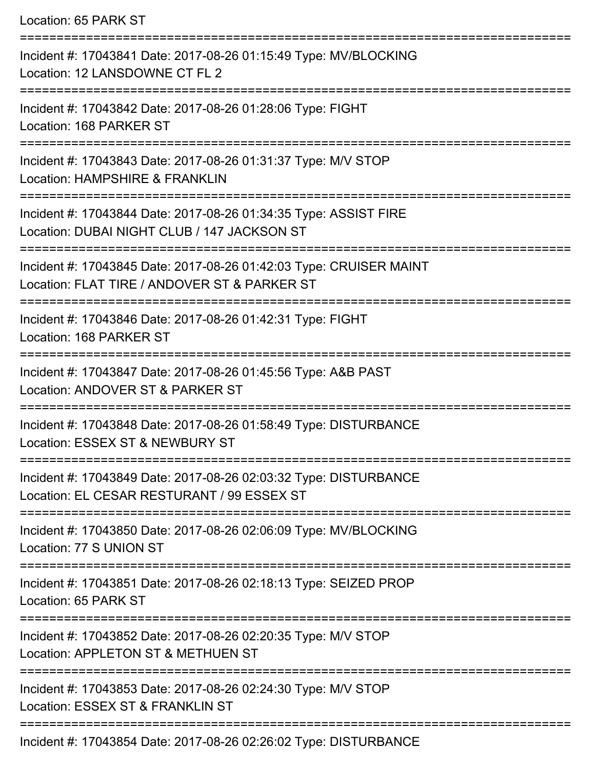Location: 65 PARK ST =========================================================================== Incident #: 17043841 Date: 2017-08-26 01:15:49 Type: MV/BLOCKING Location: 12 LANSDOWNE CT FL 2 =========================================================================== Incident #: 17043842 Date: 2017-08-26 01:28:06 Type: FIGHT Location: 168 PARKER ST =========================================================================== Incident #: 17043843 Date: 2017-08-26 01:31:37 Type: M/V STOP Location: HAMPSHIRE & FRANKLIN =========================================================================== Incident #: 17043844 Date: 2017-08-26 01:34:35 Type: ASSIST FIRE Location: DUBAI NIGHT CLUB / 147 JACKSON ST =================================== Incident #: 17043845 Date: 2017-08-26 01:42:03 Type: CRUISER MAINT Location: FLAT TIRE / ANDOVER ST & PARKER ST =========================================================================== Incident #: 17043846 Date: 2017-08-26 01:42:31 Type: FIGHT Location: 168 PARKER ST =========================================================================== Incident #: 17043847 Date: 2017-08-26 01:45:56 Type: A&B PAST Location: ANDOVER ST & PARKER ST =========================================================================== Incident #: 17043848 Date: 2017-08-26 01:58:49 Type: DISTURBANCE Location: ESSEX ST & NEWBURY ST =========================================================================== Incident #: 17043849 Date: 2017-08-26 02:03:32 Type: DISTURBANCE Location: EL CESAR RESTURANT / 99 ESSEX ST =========================================================================== Incident #: 17043850 Date: 2017-08-26 02:06:09 Type: MV/BLOCKING Location: 77 S UNION ST =========================================================================== Incident #: 17043851 Date: 2017-08-26 02:18:13 Type: SEIZED PROP Location: 65 PARK ST =========================================================================== Incident #: 17043852 Date: 2017-08-26 02:20:35 Type: M/V STOP Location: APPLETON ST & METHUEN ST =========================================================================== Incident #: 17043853 Date: 2017-08-26 02:24:30 Type: M/V STOP Location: ESSEX ST & FRANKLIN ST ===========================================================================

Incident #: 17043854 Date: 2017-08-26 02:26:02 Type: DISTURBANCE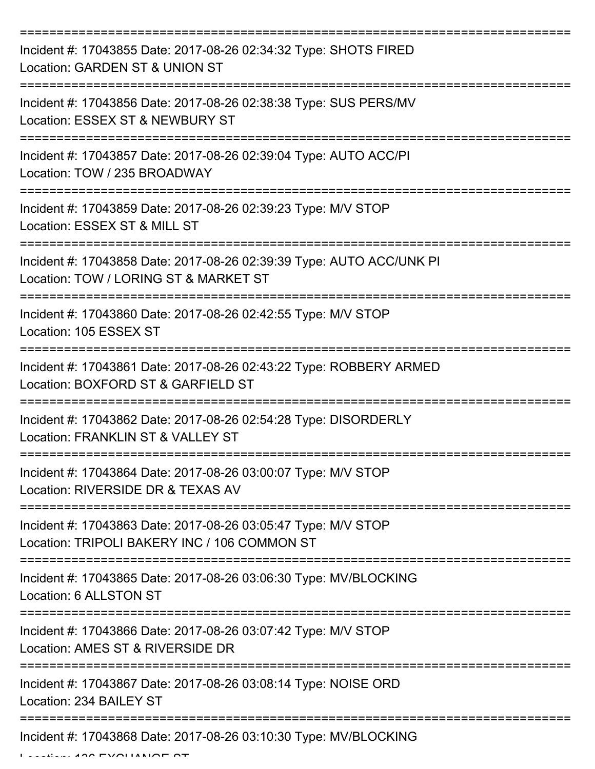| Incident #: 17043855 Date: 2017-08-26 02:34:32 Type: SHOTS FIRED<br>Location: GARDEN ST & UNION ST                                     |
|----------------------------------------------------------------------------------------------------------------------------------------|
| Incident #: 17043856 Date: 2017-08-26 02:38:38 Type: SUS PERS/MV<br>Location: ESSEX ST & NEWBURY ST                                    |
| Incident #: 17043857 Date: 2017-08-26 02:39:04 Type: AUTO ACC/PI<br>Location: TOW / 235 BROADWAY                                       |
| Incident #: 17043859 Date: 2017-08-26 02:39:23 Type: M/V STOP<br>Location: ESSEX ST & MILL ST                                          |
| Incident #: 17043858 Date: 2017-08-26 02:39:39 Type: AUTO ACC/UNK PI<br>Location: TOW / LORING ST & MARKET ST<br>=================     |
| Incident #: 17043860 Date: 2017-08-26 02:42:55 Type: M/V STOP<br>Location: 105 ESSEX ST                                                |
| Incident #: 17043861 Date: 2017-08-26 02:43:22 Type: ROBBERY ARMED<br>Location: BOXFORD ST & GARFIELD ST                               |
| Incident #: 17043862 Date: 2017-08-26 02:54:28 Type: DISORDERLY<br>Location: FRANKLIN ST & VALLEY ST                                   |
| Incident #: 17043864 Date: 2017-08-26 03:00:07 Type: M/V STOP<br>Location: RIVERSIDE DR & TEXAS AV                                     |
| Incident #: 17043863 Date: 2017-08-26 03:05:47 Type: M/V STOP<br>Location: TRIPOLI BAKERY INC / 106 COMMON ST                          |
| Incident #: 17043865 Date: 2017-08-26 03:06:30 Type: MV/BLOCKING<br>Location: 6 ALLSTON ST                                             |
| :================================<br>Incident #: 17043866 Date: 2017-08-26 03:07:42 Type: M/V STOP<br>Location: AMES ST & RIVERSIDE DR |
| Incident #: 17043867 Date: 2017-08-26 03:08:14 Type: NOISE ORD<br>Location: 234 BAILEY ST                                              |
| Incident #: 17043868 Date: 2017-08-26 03:10:30 Type: MV/BLOCKING                                                                       |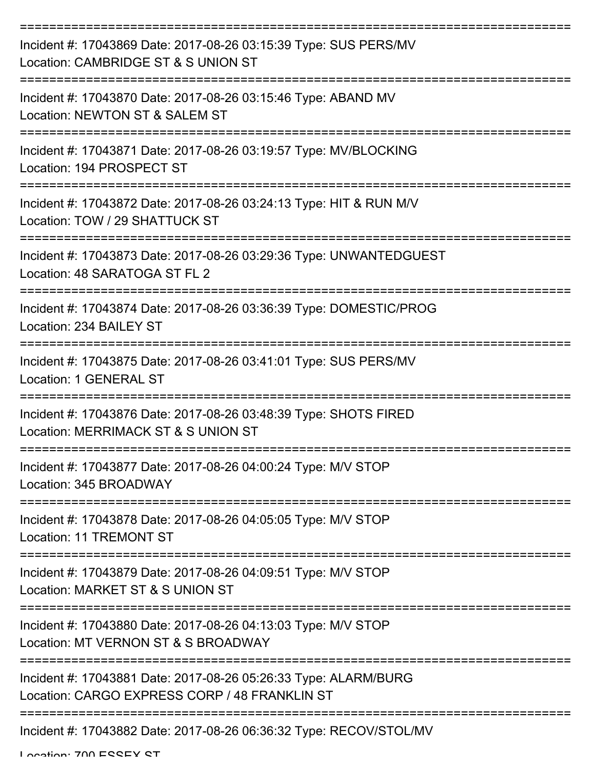| Incident #: 17043869 Date: 2017-08-26 03:15:39 Type: SUS PERS/MV<br>Location: CAMBRIDGE ST & S UNION ST                 |
|-------------------------------------------------------------------------------------------------------------------------|
| Incident #: 17043870 Date: 2017-08-26 03:15:46 Type: ABAND MV<br>Location: NEWTON ST & SALEM ST                         |
| Incident #: 17043871 Date: 2017-08-26 03:19:57 Type: MV/BLOCKING<br>Location: 194 PROSPECT ST                           |
| Incident #: 17043872 Date: 2017-08-26 03:24:13 Type: HIT & RUN M/V<br>Location: TOW / 29 SHATTUCK ST                    |
| Incident #: 17043873 Date: 2017-08-26 03:29:36 Type: UNWANTEDGUEST<br>Location: 48 SARATOGA ST FL 2                     |
| Incident #: 17043874 Date: 2017-08-26 03:36:39 Type: DOMESTIC/PROG<br>Location: 234 BAILEY ST                           |
| Incident #: 17043875 Date: 2017-08-26 03:41:01 Type: SUS PERS/MV<br>Location: 1 GENERAL ST                              |
| ============<br>Incident #: 17043876 Date: 2017-08-26 03:48:39 Type: SHOTS FIRED<br>Location: MERRIMACK ST & S UNION ST |
| Incident #: 17043877 Date: 2017-08-26 04:00:24 Type: M/V STOP<br>Location: 345 BROADWAY                                 |
| Incident #: 17043878 Date: 2017-08-26 04:05:05 Type: M/V STOP<br>Location: 11 TREMONT ST                                |
| Incident #: 17043879 Date: 2017-08-26 04:09:51 Type: M/V STOP<br>Location: MARKET ST & S UNION ST                       |
| Incident #: 17043880 Date: 2017-08-26 04:13:03 Type: M/V STOP<br>Location: MT VERNON ST & S BROADWAY                    |
| Incident #: 17043881 Date: 2017-08-26 05:26:33 Type: ALARM/BURG<br>Location: CARGO EXPRESS CORP / 48 FRANKLIN ST        |
| Incident #: 17043882 Date: 2017-08-26 06:36:32 Type: RECOV/STOL/MV                                                      |

Location: 700 ESSEY ST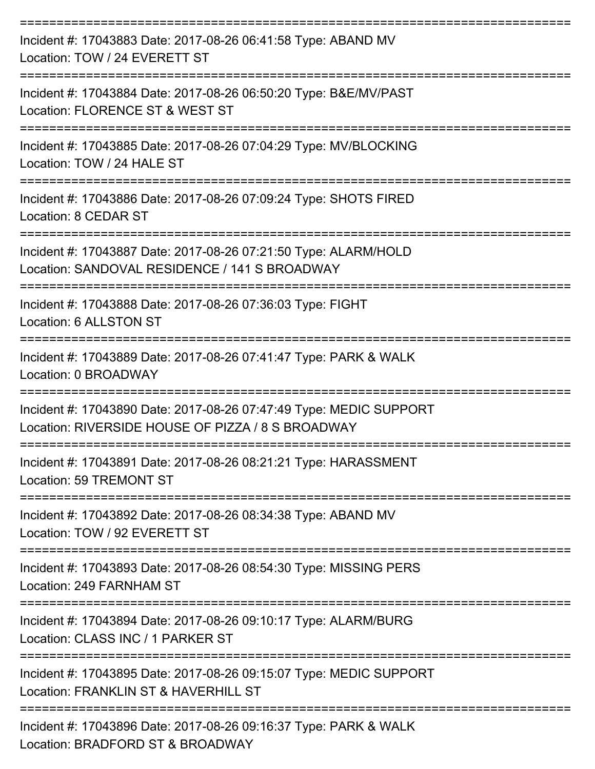| Incident #: 17043883 Date: 2017-08-26 06:41:58 Type: ABAND MV<br>Location: TOW / 24 EVERETT ST                                   |
|----------------------------------------------------------------------------------------------------------------------------------|
| Incident #: 17043884 Date: 2017-08-26 06:50:20 Type: B&E/MV/PAST<br>Location: FLORENCE ST & WEST ST                              |
| Incident #: 17043885 Date: 2017-08-26 07:04:29 Type: MV/BLOCKING<br>Location: TOW / 24 HALE ST                                   |
| Incident #: 17043886 Date: 2017-08-26 07:09:24 Type: SHOTS FIRED<br>Location: 8 CEDAR ST                                         |
| Incident #: 17043887 Date: 2017-08-26 07:21:50 Type: ALARM/HOLD<br>Location: SANDOVAL RESIDENCE / 141 S BROADWAY<br>============ |
| Incident #: 17043888 Date: 2017-08-26 07:36:03 Type: FIGHT<br>Location: 6 ALLSTON ST                                             |
| ==================<br>Incident #: 17043889 Date: 2017-08-26 07:41:47 Type: PARK & WALK<br>Location: 0 BROADWAY                   |
| Incident #: 17043890 Date: 2017-08-26 07:47:49 Type: MEDIC SUPPORT<br>Location: RIVERSIDE HOUSE OF PIZZA / 8 S BROADWAY          |
| Incident #: 17043891 Date: 2017-08-26 08:21:21 Type: HARASSMENT<br>Location: 59 TREMONT ST                                       |
| Incident #: 17043892 Date: 2017-08-26 08:34:38 Type: ABAND MV<br>Location: TOW / 92 EVERETT ST                                   |
| Incident #: 17043893 Date: 2017-08-26 08:54:30 Type: MISSING PERS<br>Location: 249 FARNHAM ST                                    |
| Incident #: 17043894 Date: 2017-08-26 09:10:17 Type: ALARM/BURG<br>Location: CLASS INC / 1 PARKER ST                             |
| Incident #: 17043895 Date: 2017-08-26 09:15:07 Type: MEDIC SUPPORT<br>Location: FRANKLIN ST & HAVERHILL ST                       |
| ==============<br>Incident #: 17043896 Date: 2017-08-26 09:16:37 Type: PARK & WALK<br>Location: BRADFORD ST & BROADWAY           |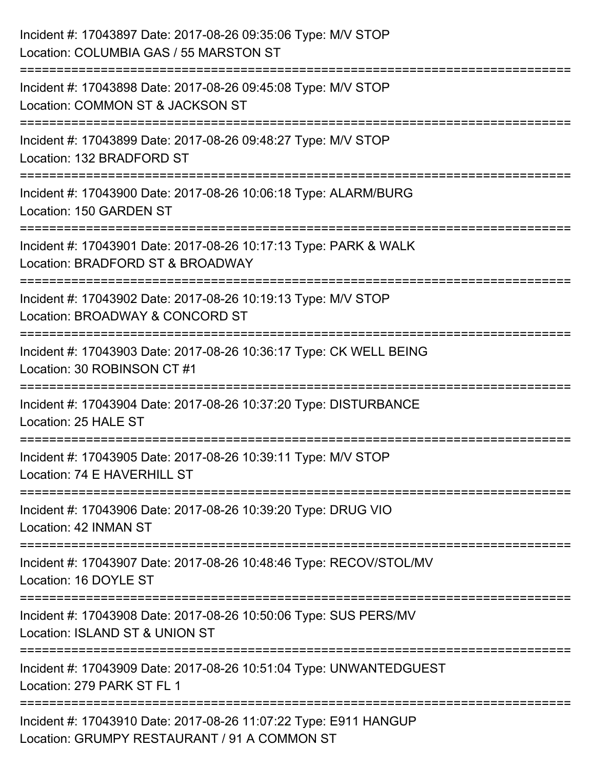| Incident #: 17043897 Date: 2017-08-26 09:35:06 Type: M/V STOP<br>Location: COLUMBIA GAS / 55 MARSTON ST                             |
|-------------------------------------------------------------------------------------------------------------------------------------|
| ==============================<br>Incident #: 17043898 Date: 2017-08-26 09:45:08 Type: M/V STOP<br>Location: COMMON ST & JACKSON ST |
| Incident #: 17043899 Date: 2017-08-26 09:48:27 Type: M/V STOP<br>Location: 132 BRADFORD ST<br>----------------------------          |
| Incident #: 17043900 Date: 2017-08-26 10:06:18 Type: ALARM/BURG<br>Location: 150 GARDEN ST                                          |
| Incident #: 17043901 Date: 2017-08-26 10:17:13 Type: PARK & WALK<br>Location: BRADFORD ST & BROADWAY                                |
| Incident #: 17043902 Date: 2017-08-26 10:19:13 Type: M/V STOP<br>Location: BROADWAY & CONCORD ST                                    |
| :======================<br>Incident #: 17043903 Date: 2017-08-26 10:36:17 Type: CK WELL BEING<br>Location: 30 ROBINSON CT #1        |
| Incident #: 17043904 Date: 2017-08-26 10:37:20 Type: DISTURBANCE<br>Location: 25 HALE ST                                            |
| Incident #: 17043905 Date: 2017-08-26 10:39:11 Type: M/V STOP<br>Location: 74 E HAVERHILL ST                                        |
| Incident #: 17043906 Date: 2017-08-26 10:39:20 Type: DRUG VIO<br>Location: 42 INMAN ST                                              |
| Incident #: 17043907 Date: 2017-08-26 10:48:46 Type: RECOV/STOL/MV<br>Location: 16 DOYLE ST                                         |
| Incident #: 17043908 Date: 2017-08-26 10:50:06 Type: SUS PERS/MV<br>Location: ISLAND ST & UNION ST                                  |
| Incident #: 17043909 Date: 2017-08-26 10:51:04 Type: UNWANTEDGUEST<br>Location: 279 PARK ST FL 1                                    |
| Incident #: 17043910 Date: 2017-08-26 11:07:22 Type: E911 HANGUP<br>Location: GRUMPY RESTAURANT / 91 A COMMON ST                    |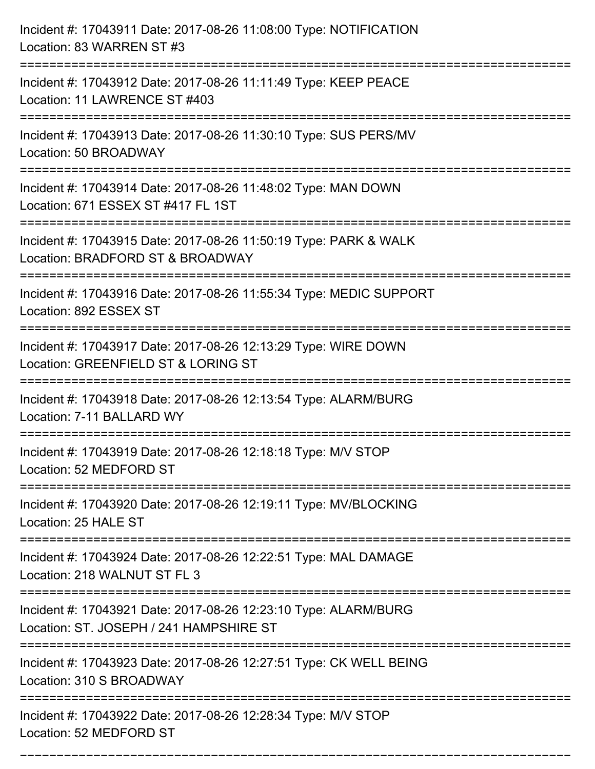| Incident #: 17043911 Date: 2017-08-26 11:08:00 Type: NOTIFICATION<br>Location: 83 WARREN ST #3                                                                     |
|--------------------------------------------------------------------------------------------------------------------------------------------------------------------|
| :===================================<br>Incident #: 17043912 Date: 2017-08-26 11:11:49 Type: KEEP PEACE<br>Location: 11 LAWRENCE ST #403                           |
| Incident #: 17043913 Date: 2017-08-26 11:30:10 Type: SUS PERS/MV<br>Location: 50 BROADWAY                                                                          |
| Incident #: 17043914 Date: 2017-08-26 11:48:02 Type: MAN DOWN<br>Location: 671 ESSEX ST #417 FL 1ST                                                                |
| Incident #: 17043915 Date: 2017-08-26 11:50:19 Type: PARK & WALK<br>Location: BRADFORD ST & BROADWAY<br>==================================<br>-------------------- |
| Incident #: 17043916 Date: 2017-08-26 11:55:34 Type: MEDIC SUPPORT<br>Location: 892 ESSEX ST                                                                       |
| Incident #: 17043917 Date: 2017-08-26 12:13:29 Type: WIRE DOWN<br>Location: GREENFIELD ST & LORING ST<br>================                                          |
| Incident #: 17043918 Date: 2017-08-26 12:13:54 Type: ALARM/BURG<br>Location: 7-11 BALLARD WY                                                                       |
| Incident #: 17043919 Date: 2017-08-26 12:18:18 Type: M/V STOP<br>Location: 52 MEDFORD ST                                                                           |
| Incident #: 17043920 Date: 2017-08-26 12:19:11 Type: MV/BLOCKING<br>Location: 25 HALE ST                                                                           |
| Incident #: 17043924 Date: 2017-08-26 12:22:51 Type: MAL DAMAGE<br>Location: 218 WALNUT ST FL 3                                                                    |
| Incident #: 17043921 Date: 2017-08-26 12:23:10 Type: ALARM/BURG<br>Location: ST. JOSEPH / 241 HAMPSHIRE ST                                                         |
| Incident #: 17043923 Date: 2017-08-26 12:27:51 Type: CK WELL BEING<br>Location: 310 S BROADWAY                                                                     |
| Incident #: 17043922 Date: 2017-08-26 12:28:34 Type: M/V STOP<br>Location: 52 MEDFORD ST                                                                           |

===========================================================================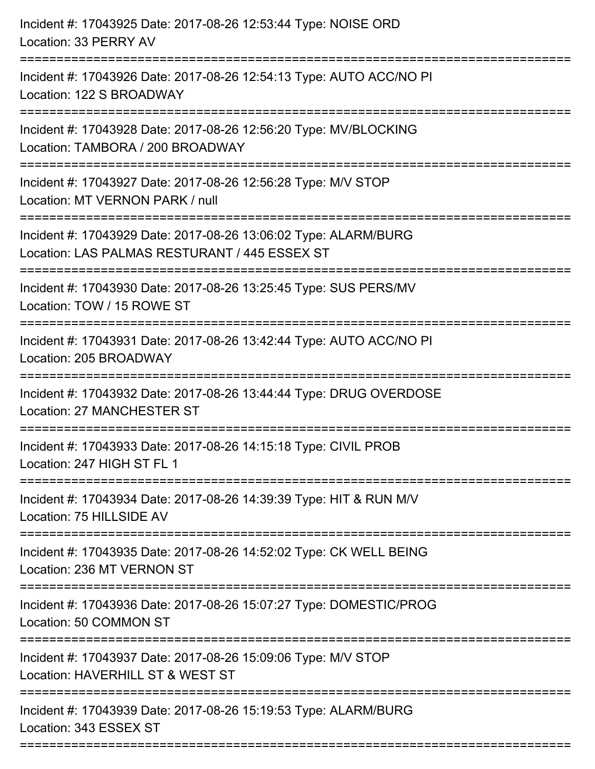| Incident #: 17043925 Date: 2017-08-26 12:53:44 Type: NOISE ORD<br>Location: 33 PERRY AV                                                      |
|----------------------------------------------------------------------------------------------------------------------------------------------|
| Incident #: 17043926 Date: 2017-08-26 12:54:13 Type: AUTO ACC/NO PI<br>Location: 122 S BROADWAY                                              |
| Incident #: 17043928 Date: 2017-08-26 12:56:20 Type: MV/BLOCKING<br>Location: TAMBORA / 200 BROADWAY<br>==================================== |
| Incident #: 17043927 Date: 2017-08-26 12:56:28 Type: M/V STOP<br>Location: MT VERNON PARK / null                                             |
| Incident #: 17043929 Date: 2017-08-26 13:06:02 Type: ALARM/BURG<br>Location: LAS PALMAS RESTURANT / 445 ESSEX ST<br>:===============         |
| Incident #: 17043930 Date: 2017-08-26 13:25:45 Type: SUS PERS/MV<br>Location: TOW / 15 ROWE ST                                               |
| Incident #: 17043931 Date: 2017-08-26 13:42:44 Type: AUTO ACC/NO PI<br>Location: 205 BROADWAY                                                |
| Incident #: 17043932 Date: 2017-08-26 13:44:44 Type: DRUG OVERDOSE<br><b>Location: 27 MANCHESTER ST</b>                                      |
| Incident #: 17043933 Date: 2017-08-26 14:15:18 Type: CIVIL PROB<br>Location: 247 HIGH ST FL 1                                                |
| Incident #: 17043934 Date: 2017-08-26 14:39:39 Type: HIT & RUN M/V<br>Location: 75 HILLSIDE AV                                               |
| Incident #: 17043935 Date: 2017-08-26 14:52:02 Type: CK WELL BEING<br>Location: 236 MT VERNON ST                                             |
| Incident #: 17043936 Date: 2017-08-26 15:07:27 Type: DOMESTIC/PROG<br>Location: 50 COMMON ST                                                 |
| Incident #: 17043937 Date: 2017-08-26 15:09:06 Type: M/V STOP<br>Location: HAVERHILL ST & WEST ST                                            |
| Incident #: 17043939 Date: 2017-08-26 15:19:53 Type: ALARM/BURG<br>Location: 343 ESSEX ST                                                    |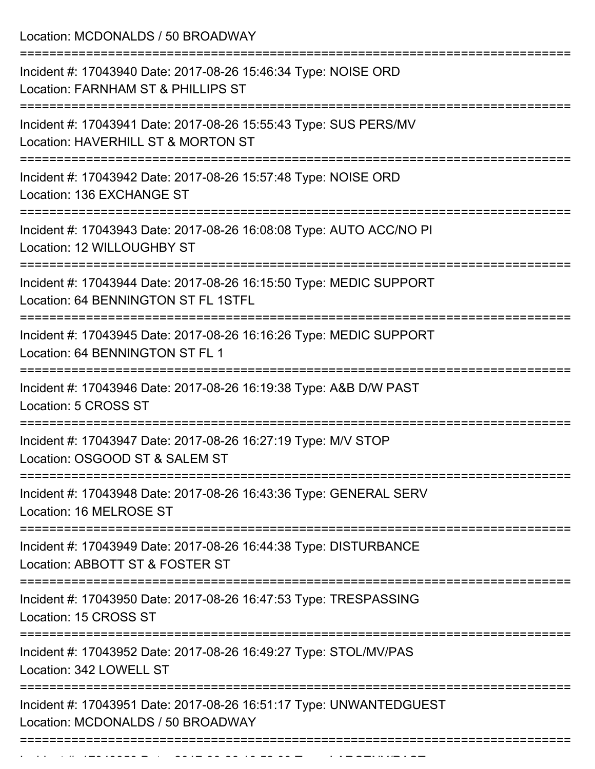Location: MCDONALDS / 50 BROADWAY

| Incident #: 17043940 Date: 2017-08-26 15:46:34 Type: NOISE ORD<br>Location: FARNHAM ST & PHILLIPS ST<br>=================== |
|-----------------------------------------------------------------------------------------------------------------------------|
| Incident #: 17043941 Date: 2017-08-26 15:55:43 Type: SUS PERS/MV<br>Location: HAVERHILL ST & MORTON ST                      |
| Incident #: 17043942 Date: 2017-08-26 15:57:48 Type: NOISE ORD<br>Location: 136 EXCHANGE ST                                 |
| Incident #: 17043943 Date: 2017-08-26 16:08:08 Type: AUTO ACC/NO PI<br>Location: 12 WILLOUGHBY ST<br>-------------          |
| Incident #: 17043944 Date: 2017-08-26 16:15:50 Type: MEDIC SUPPORT<br>Location: 64 BENNINGTON ST FL 1STFL                   |
| Incident #: 17043945 Date: 2017-08-26 16:16:26 Type: MEDIC SUPPORT<br>Location: 64 BENNINGTON ST FL 1                       |
| Incident #: 17043946 Date: 2017-08-26 16:19:38 Type: A&B D/W PAST<br>Location: 5 CROSS ST                                   |
| Incident #: 17043947 Date: 2017-08-26 16:27:19 Type: M/V STOP<br>Location: OSGOOD ST & SALEM ST                             |
| Incident #: 17043948 Date: 2017-08-26 16:43:36 Type: GENERAL SERV<br>Location: 16 MELROSE ST                                |
| Incident #: 17043949 Date: 2017-08-26 16:44:38 Type: DISTURBANCE<br>Location: ABBOTT ST & FOSTER ST                         |
| Incident #: 17043950 Date: 2017-08-26 16:47:53 Type: TRESPASSING<br>Location: 15 CROSS ST                                   |
| Incident #: 17043952 Date: 2017-08-26 16:49:27 Type: STOL/MV/PAS<br>Location: 342 LOWELL ST                                 |
| Incident #: 17043951 Date: 2017-08-26 16:51:17 Type: UNWANTEDGUEST<br>Location: MCDONALDS / 50 BROADWAY                     |
|                                                                                                                             |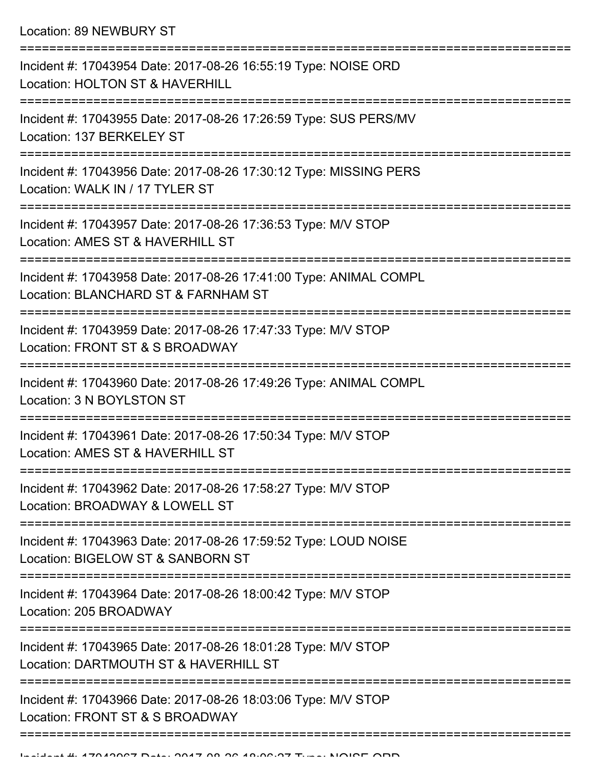Location: 89 NEWBURY ST

| Incident #: 17043954 Date: 2017-08-26 16:55:19 Type: NOISE ORD<br>Location: HOLTON ST & HAVERHILL        |
|----------------------------------------------------------------------------------------------------------|
| Incident #: 17043955 Date: 2017-08-26 17:26:59 Type: SUS PERS/MV<br>Location: 137 BERKELEY ST            |
| Incident #: 17043956 Date: 2017-08-26 17:30:12 Type: MISSING PERS<br>Location: WALK IN / 17 TYLER ST     |
| Incident #: 17043957 Date: 2017-08-26 17:36:53 Type: M/V STOP<br>Location: AMES ST & HAVERHILL ST        |
| Incident #: 17043958 Date: 2017-08-26 17:41:00 Type: ANIMAL COMPL<br>Location: BLANCHARD ST & FARNHAM ST |
| Incident #: 17043959 Date: 2017-08-26 17:47:33 Type: M/V STOP<br>Location: FRONT ST & S BROADWAY         |
| Incident #: 17043960 Date: 2017-08-26 17:49:26 Type: ANIMAL COMPL<br>Location: 3 N BOYLSTON ST           |
| Incident #: 17043961 Date: 2017-08-26 17:50:34 Type: M/V STOP<br>Location: AMES ST & HAVERHILL ST        |
| Incident #: 17043962 Date: 2017-08-26 17:58:27 Type: M/V STOP<br>Location: BROADWAY & LOWELL ST          |
| Incident #: 17043963 Date: 2017-08-26 17:59:52 Type: LOUD NOISE<br>Location: BIGELOW ST & SANBORN ST     |
| Incident #: 17043964 Date: 2017-08-26 18:00:42 Type: M/V STOP<br>Location: 205 BROADWAY                  |
| Incident #: 17043965 Date: 2017-08-26 18:01:28 Type: M/V STOP<br>Location: DARTMOUTH ST & HAVERHILL ST   |
| Incident #: 17043966 Date: 2017-08-26 18:03:06 Type: M/V STOP<br>Location: FRONT ST & S BROADWAY         |
|                                                                                                          |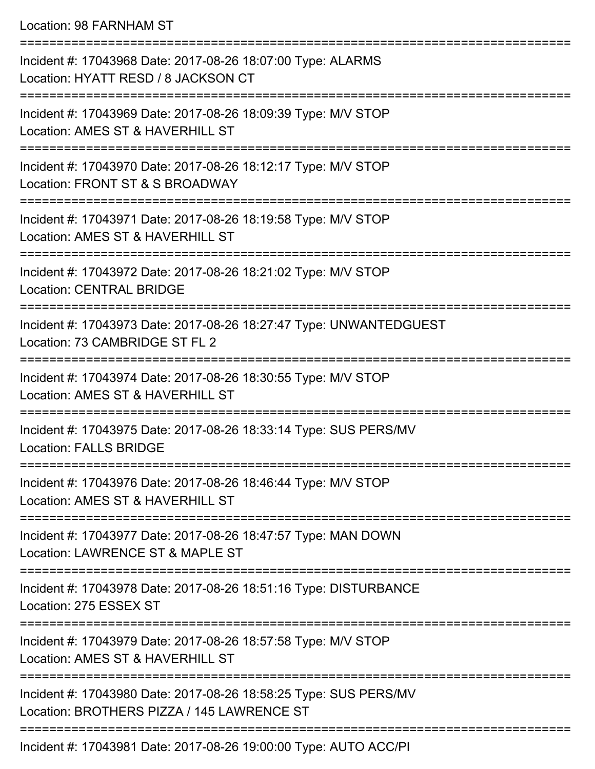Location: 98 FARNHAM ST

| Incident #: 17043968 Date: 2017-08-26 18:07:00 Type: ALARMS<br>Location: HYATT RESD / 8 JACKSON CT                  |
|---------------------------------------------------------------------------------------------------------------------|
| Incident #: 17043969 Date: 2017-08-26 18:09:39 Type: M/V STOP<br>Location: AMES ST & HAVERHILL ST                   |
| Incident #: 17043970 Date: 2017-08-26 18:12:17 Type: M/V STOP<br>Location: FRONT ST & S BROADWAY<br>--------------- |
| Incident #: 17043971 Date: 2017-08-26 18:19:58 Type: M/V STOP<br>Location: AMES ST & HAVERHILL ST                   |
| Incident #: 17043972 Date: 2017-08-26 18:21:02 Type: M/V STOP<br><b>Location: CENTRAL BRIDGE</b>                    |
| Incident #: 17043973 Date: 2017-08-26 18:27:47 Type: UNWANTEDGUEST<br>Location: 73 CAMBRIDGE ST FL 2                |
| Incident #: 17043974 Date: 2017-08-26 18:30:55 Type: M/V STOP<br>Location: AMES ST & HAVERHILL ST                   |
| Incident #: 17043975 Date: 2017-08-26 18:33:14 Type: SUS PERS/MV<br><b>Location: FALLS BRIDGE</b>                   |
| Incident #: 17043976 Date: 2017-08-26 18:46:44 Type: M/V STOP<br>Location: AMES ST & HAVERHILL ST                   |
| Incident #: 17043977 Date: 2017-08-26 18:47:57 Type: MAN DOWN<br>Location: LAWRENCE ST & MAPLE ST                   |
| Incident #: 17043978 Date: 2017-08-26 18:51:16 Type: DISTURBANCE<br>Location: 275 ESSEX ST                          |
| Incident #: 17043979 Date: 2017-08-26 18:57:58 Type: M/V STOP<br>Location: AMES ST & HAVERHILL ST                   |
| Incident #: 17043980 Date: 2017-08-26 18:58:25 Type: SUS PERS/MV<br>Location: BROTHERS PIZZA / 145 LAWRENCE ST      |
| Incident #: 17043981 Date: 2017-08-26 19:00:00 Type: AUTO ACC/PI                                                    |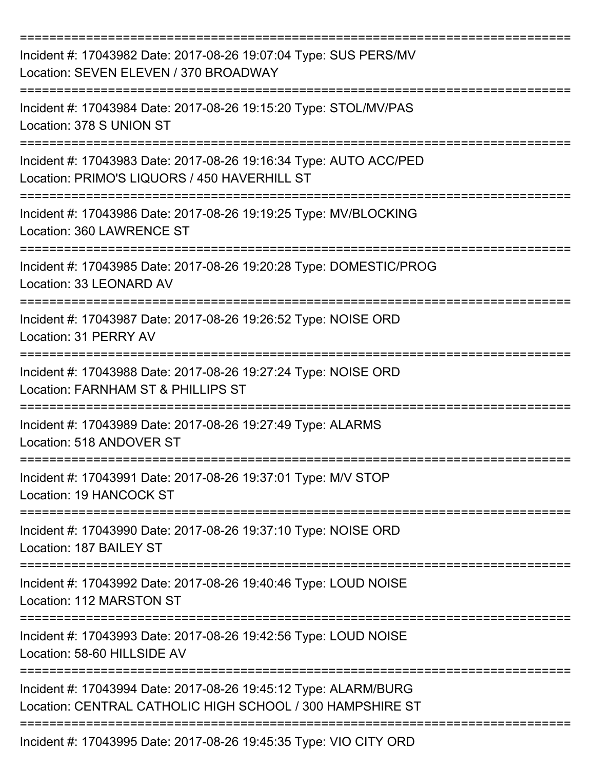| Incident #: 17043982 Date: 2017-08-26 19:07:04 Type: SUS PERS/MV<br>Location: SEVEN ELEVEN / 370 BROADWAY                    |
|------------------------------------------------------------------------------------------------------------------------------|
| Incident #: 17043984 Date: 2017-08-26 19:15:20 Type: STOL/MV/PAS<br>Location: 378 S UNION ST                                 |
| Incident #: 17043983 Date: 2017-08-26 19:16:34 Type: AUTO ACC/PED<br>Location: PRIMO'S LIQUORS / 450 HAVERHILL ST            |
| Incident #: 17043986 Date: 2017-08-26 19:19:25 Type: MV/BLOCKING<br>Location: 360 LAWRENCE ST                                |
| Incident #: 17043985 Date: 2017-08-26 19:20:28 Type: DOMESTIC/PROG<br>Location: 33 LEONARD AV                                |
| Incident #: 17043987 Date: 2017-08-26 19:26:52 Type: NOISE ORD<br>Location: 31 PERRY AV                                      |
| Incident #: 17043988 Date: 2017-08-26 19:27:24 Type: NOISE ORD<br>Location: FARNHAM ST & PHILLIPS ST                         |
| Incident #: 17043989 Date: 2017-08-26 19:27:49 Type: ALARMS<br>Location: 518 ANDOVER ST                                      |
| Incident #: 17043991 Date: 2017-08-26 19:37:01 Type: M/V STOP<br>Location: 19 HANCOCK ST                                     |
| Incident #: 17043990 Date: 2017-08-26 19:37:10 Type: NOISE ORD<br>Location: 187 BAILEY ST                                    |
| Incident #: 17043992 Date: 2017-08-26 19:40:46 Type: LOUD NOISE<br>Location: 112 MARSTON ST                                  |
| Incident #: 17043993 Date: 2017-08-26 19:42:56 Type: LOUD NOISE<br>Location: 58-60 HILLSIDE AV                               |
| Incident #: 17043994 Date: 2017-08-26 19:45:12 Type: ALARM/BURG<br>Location: CENTRAL CATHOLIC HIGH SCHOOL / 300 HAMPSHIRE ST |
| Incident #: 17043995 Date: 2017-08-26 19:45:35 Type: VIO CITY ORD                                                            |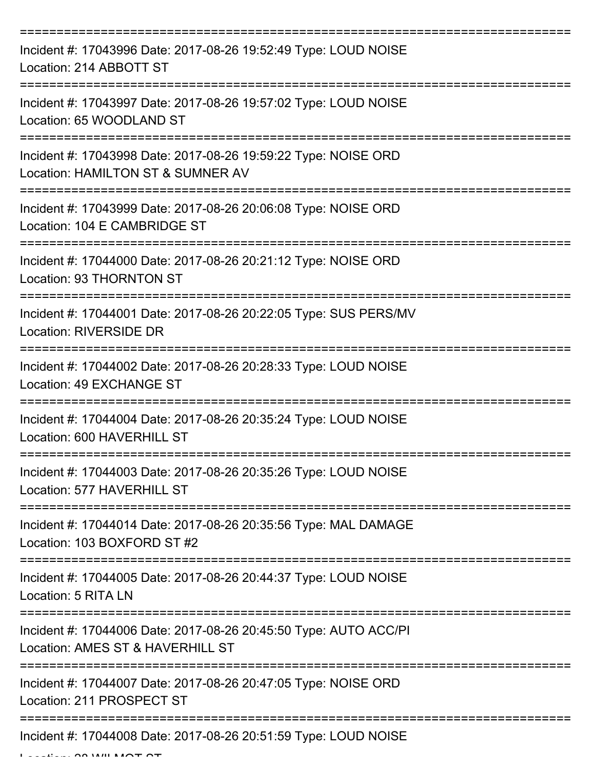| Incident #: 17043996 Date: 2017-08-26 19:52:49 Type: LOUD NOISE<br>Location: 214 ABBOTT ST                |
|-----------------------------------------------------------------------------------------------------------|
| Incident #: 17043997 Date: 2017-08-26 19:57:02 Type: LOUD NOISE<br>Location: 65 WOODLAND ST               |
| Incident #: 17043998 Date: 2017-08-26 19:59:22 Type: NOISE ORD<br>Location: HAMILTON ST & SUMNER AV       |
| Incident #: 17043999 Date: 2017-08-26 20:06:08 Type: NOISE ORD<br>Location: 104 E CAMBRIDGE ST            |
| Incident #: 17044000 Date: 2017-08-26 20:21:12 Type: NOISE ORD<br>Location: 93 THORNTON ST                |
| Incident #: 17044001 Date: 2017-08-26 20:22:05 Type: SUS PERS/MV<br><b>Location: RIVERSIDE DR</b>         |
| Incident #: 17044002 Date: 2017-08-26 20:28:33 Type: LOUD NOISE<br>Location: 49 EXCHANGE ST<br>========== |
| Incident #: 17044004 Date: 2017-08-26 20:35:24 Type: LOUD NOISE<br>Location: 600 HAVERHILL ST             |
| Incident #: 17044003 Date: 2017-08-26 20:35:26 Type: LOUD NOISE<br>Location: 577 HAVERHILL ST             |
| Incident #: 17044014 Date: 2017-08-26 20:35:56 Type: MAL DAMAGE<br>Location: 103 BOXFORD ST #2            |
| Incident #: 17044005 Date: 2017-08-26 20:44:37 Type: LOUD NOISE<br>Location: 5 RITA LN                    |
| Incident #: 17044006 Date: 2017-08-26 20:45:50 Type: AUTO ACC/PI<br>Location: AMES ST & HAVERHILL ST      |
| Incident #: 17044007 Date: 2017-08-26 20:47:05 Type: NOISE ORD<br>Location: 211 PROSPECT ST               |
| Incident #: 17044008 Date: 2017-08-26 20:51:59 Type: LOUD NOISE                                           |

 $L = L L L L L$   $\Omega$  and  $\Omega$  will be  $\Omega$  and  $\Omega$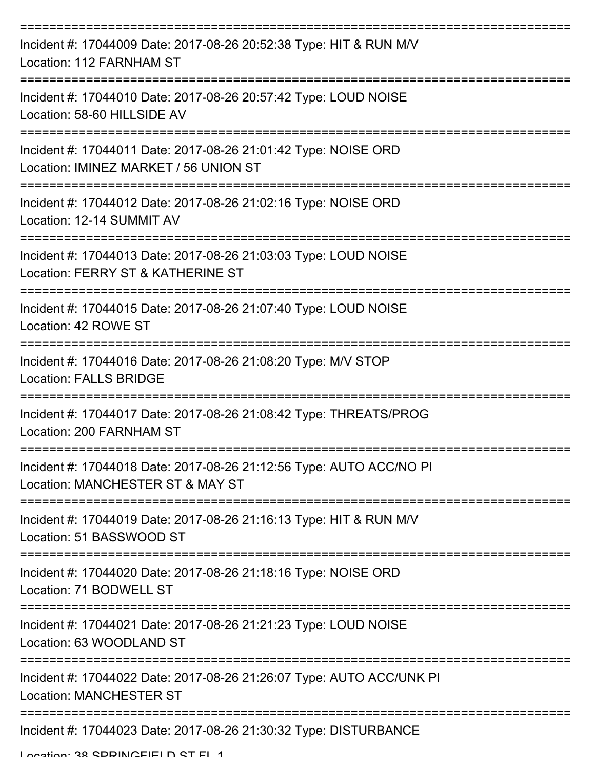| Incident #: 17044009 Date: 2017-08-26 20:52:38 Type: HIT & RUN M/V<br>Location: 112 FARNHAM ST                                |
|-------------------------------------------------------------------------------------------------------------------------------|
| Incident #: 17044010 Date: 2017-08-26 20:57:42 Type: LOUD NOISE<br>Location: 58-60 HILLSIDE AV                                |
| Incident #: 17044011 Date: 2017-08-26 21:01:42 Type: NOISE ORD<br>Location: IMINEZ MARKET / 56 UNION ST                       |
| Incident #: 17044012 Date: 2017-08-26 21:02:16 Type: NOISE ORD<br>Location: 12-14 SUMMIT AV<br>============================== |
| Incident #: 17044013 Date: 2017-08-26 21:03:03 Type: LOUD NOISE<br>Location: FERRY ST & KATHERINE ST                          |
| Incident #: 17044015 Date: 2017-08-26 21:07:40 Type: LOUD NOISE<br>Location: 42 ROWE ST                                       |
| Incident #: 17044016 Date: 2017-08-26 21:08:20 Type: M/V STOP<br><b>Location: FALLS BRIDGE</b>                                |
| Incident #: 17044017 Date: 2017-08-26 21:08:42 Type: THREATS/PROG<br>Location: 200 FARNHAM ST                                 |
| Incident #: 17044018 Date: 2017-08-26 21:12:56 Type: AUTO ACC/NO PI<br>Location: MANCHESTER ST & MAY ST                       |
| Incident #: 17044019 Date: 2017-08-26 21:16:13 Type: HIT & RUN M/V<br>Location: 51 BASSWOOD ST                                |
| Incident #: 17044020 Date: 2017-08-26 21:18:16 Type: NOISE ORD<br>Location: 71 BODWELL ST                                     |
| Incident #: 17044021 Date: 2017-08-26 21:21:23 Type: LOUD NOISE<br>Location: 63 WOODLAND ST                                   |
| Incident #: 17044022 Date: 2017-08-26 21:26:07 Type: AUTO ACC/UNK PI<br><b>Location: MANCHESTER ST</b>                        |
| Incident #: 17044023 Date: 2017-08-26 21:30:32 Type: DISTURBANCE                                                              |

Location: 38 SDDINGFIELD ST FL 1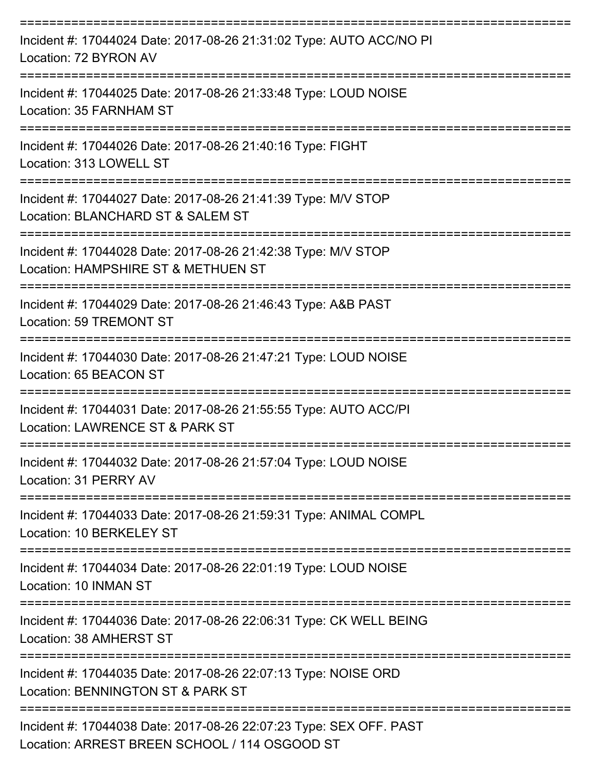| Incident #: 17044024 Date: 2017-08-26 21:31:02 Type: AUTO ACC/NO PI<br>Location: 72 BYRON AV                       |
|--------------------------------------------------------------------------------------------------------------------|
| Incident #: 17044025 Date: 2017-08-26 21:33:48 Type: LOUD NOISE<br>Location: 35 FARNHAM ST                         |
| Incident #: 17044026 Date: 2017-08-26 21:40:16 Type: FIGHT<br>Location: 313 LOWELL ST                              |
| Incident #: 17044027 Date: 2017-08-26 21:41:39 Type: M/V STOP<br>Location: BLANCHARD ST & SALEM ST                 |
| Incident #: 17044028 Date: 2017-08-26 21:42:38 Type: M/V STOP<br>Location: HAMPSHIRE ST & METHUEN ST               |
| Incident #: 17044029 Date: 2017-08-26 21:46:43 Type: A&B PAST<br>Location: 59 TREMONT ST                           |
| Incident #: 17044030 Date: 2017-08-26 21:47:21 Type: LOUD NOISE<br>Location: 65 BEACON ST                          |
| Incident #: 17044031 Date: 2017-08-26 21:55:55 Type: AUTO ACC/PI<br>Location: LAWRENCE ST & PARK ST                |
| Incident #: 17044032 Date: 2017-08-26 21:57:04 Type: LOUD NOISE<br>Location: 31 PERRY AV                           |
| Incident #: 17044033 Date: 2017-08-26 21:59:31 Type: ANIMAL COMPL<br>Location: 10 BERKELEY ST                      |
| Incident #: 17044034 Date: 2017-08-26 22:01:19 Type: LOUD NOISE<br>Location: 10 INMAN ST                           |
| Incident #: 17044036 Date: 2017-08-26 22:06:31 Type: CK WELL BEING<br>Location: 38 AMHERST ST                      |
| Incident #: 17044035 Date: 2017-08-26 22:07:13 Type: NOISE ORD<br>Location: BENNINGTON ST & PARK ST                |
| Incident #: 17044038 Date: 2017-08-26 22:07:23 Type: SEX OFF. PAST<br>Location: ADDECT DDEEN COUQOU 1444 OCCOOD CT |

Location: ARREST BREEN SCHOOL / 114 OSGOOD ST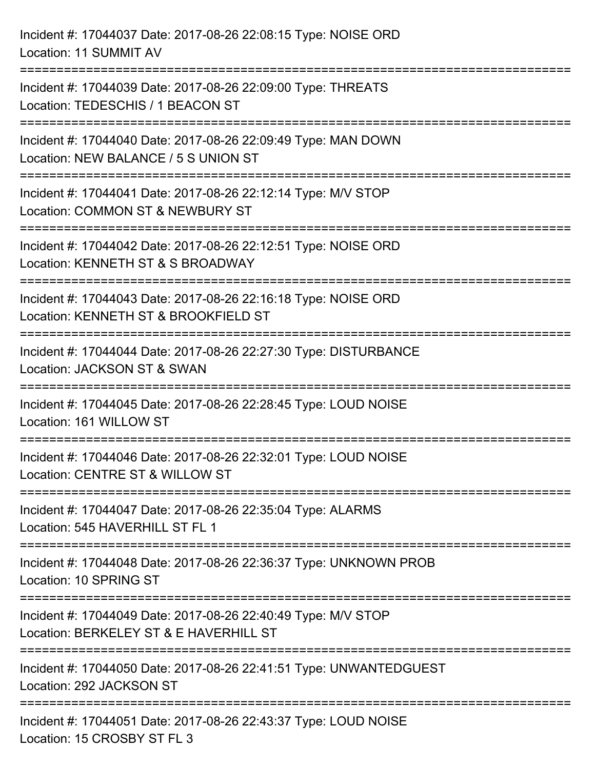| Incident #: 17044037 Date: 2017-08-26 22:08:15 Type: NOISE ORD<br>Location: 11 SUMMIT AV                                                 |
|------------------------------------------------------------------------------------------------------------------------------------------|
| Incident #: 17044039 Date: 2017-08-26 22:09:00 Type: THREATS<br>Location: TEDESCHIS / 1 BEACON ST                                        |
| Incident #: 17044040 Date: 2017-08-26 22:09:49 Type: MAN DOWN<br>Location: NEW BALANCE / 5 S UNION ST<br>=============================== |
| Incident #: 17044041 Date: 2017-08-26 22:12:14 Type: M/V STOP<br>Location: COMMON ST & NEWBURY ST<br>;=====================              |
| Incident #: 17044042 Date: 2017-08-26 22:12:51 Type: NOISE ORD<br>Location: KENNETH ST & S BROADWAY<br>=======================           |
| Incident #: 17044043 Date: 2017-08-26 22:16:18 Type: NOISE ORD<br>Location: KENNETH ST & BROOKFIELD ST                                   |
| Incident #: 17044044 Date: 2017-08-26 22:27:30 Type: DISTURBANCE<br>Location: JACKSON ST & SWAN                                          |
| Incident #: 17044045 Date: 2017-08-26 22:28:45 Type: LOUD NOISE<br>Location: 161 WILLOW ST                                               |
| Incident #: 17044046 Date: 2017-08-26 22:32:01 Type: LOUD NOISE<br>Location: CENTRE ST & WILLOW ST                                       |
| Incident #: 17044047 Date: 2017-08-26 22:35:04 Type: ALARMS<br>Location: 545 HAVERHILL ST FL 1                                           |
| Incident #: 17044048 Date: 2017-08-26 22:36:37 Type: UNKNOWN PROB<br>Location: 10 SPRING ST                                              |
| =================<br>Incident #: 17044049 Date: 2017-08-26 22:40:49 Type: M/V STOP<br>Location: BERKELEY ST & E HAVERHILL ST             |
| Incident #: 17044050 Date: 2017-08-26 22:41:51 Type: UNWANTEDGUEST<br>Location: 292 JACKSON ST                                           |
| Incident #: 17044051 Date: 2017-08-26 22:43:37 Type: LOUD NOISE<br>Location: 15 CROSBY ST FL 3                                           |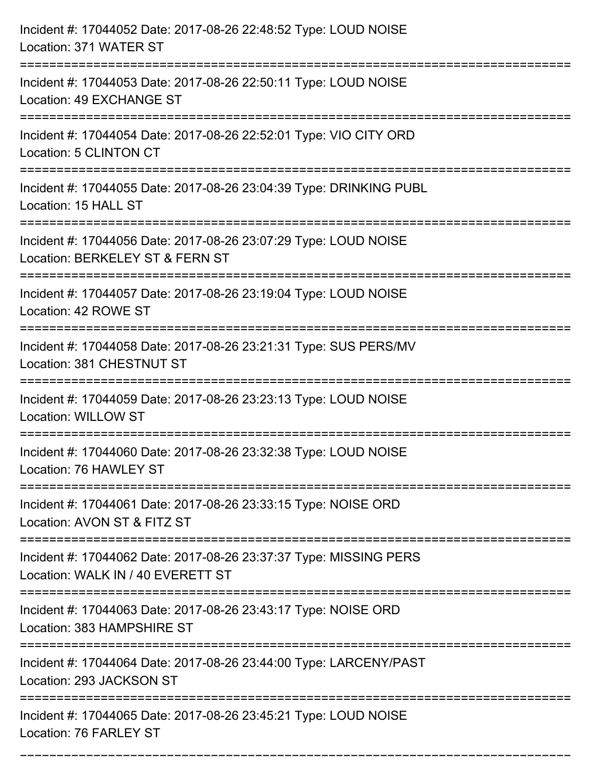| Incident #: 17044052 Date: 2017-08-26 22:48:52 Type: LOUD NOISE<br>Location: 371 WATER ST                                               |
|-----------------------------------------------------------------------------------------------------------------------------------------|
| Incident #: 17044053 Date: 2017-08-26 22:50:11 Type: LOUD NOISE<br>Location: 49 EXCHANGE ST                                             |
| Incident #: 17044054 Date: 2017-08-26 22:52:01 Type: VIO CITY ORD<br><b>Location: 5 CLINTON CT</b><br>================================= |
| Incident #: 17044055 Date: 2017-08-26 23:04:39 Type: DRINKING PUBL<br>Location: 15 HALL ST                                              |
| Incident #: 17044056 Date: 2017-08-26 23:07:29 Type: LOUD NOISE<br>Location: BERKELEY ST & FERN ST                                      |
| Incident #: 17044057 Date: 2017-08-26 23:19:04 Type: LOUD NOISE<br>Location: 42 ROWE ST                                                 |
| Incident #: 17044058 Date: 2017-08-26 23:21:31 Type: SUS PERS/MV<br>Location: 381 CHESTNUT ST                                           |
| Incident #: 17044059 Date: 2017-08-26 23:23:13 Type: LOUD NOISE<br><b>Location: WILLOW ST</b>                                           |
| Incident #: 17044060 Date: 2017-08-26 23:32:38 Type: LOUD NOISE<br>Location: 76 HAWLEY ST                                               |
| Incident #: 17044061 Date: 2017-08-26 23:33:15 Type: NOISE ORD<br>Location: AVON ST & FITZ ST                                           |
| Incident #: 17044062 Date: 2017-08-26 23:37:37 Type: MISSING PERS<br>Location: WALK IN / 40 EVERETT ST                                  |
| Incident #: 17044063 Date: 2017-08-26 23:43:17 Type: NOISE ORD<br>Location: 383 HAMPSHIRE ST                                            |
| Incident #: 17044064 Date: 2017-08-26 23:44:00 Type: LARCENY/PAST<br>Location: 293 JACKSON ST                                           |
| Incident #: 17044065 Date: 2017-08-26 23:45:21 Type: LOUD NOISE<br>Location: 76 FARLEY ST                                               |

===========================================================================